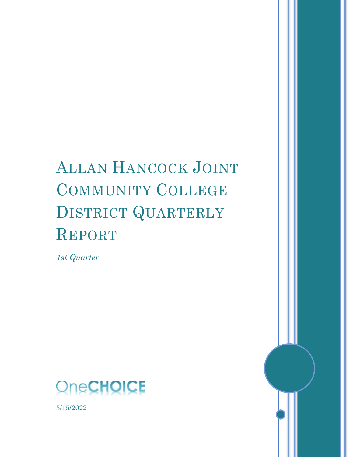# ALLAN HANCOCK JOINT COMMUNITY COLLEGE DISTRICT QUARTERLY REPORT

*1st Quarter*





3/15/2022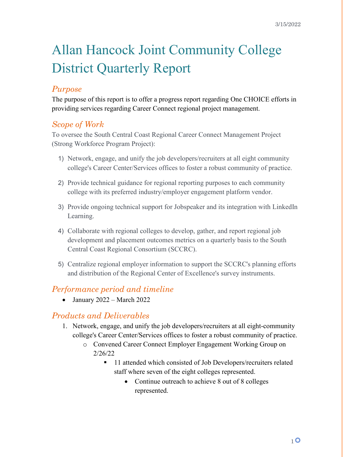# Allan Hancock Joint Community College District Quarterly Report

## *Purpose*

The purpose of this report is to offer a progress report regarding One CHOICE efforts in providing services regarding Career Connect regional project management.

## *Scope of Work*

To oversee the South Central Coast Regional Career Connect Management Project (Strong Workforce Program Project):

- 1) Network, engage, and unify the job developers/recruiters at all eight community college's Career Center/Services offices to foster a robust community of practice.
- 2) Provide technical guidance for regional reporting purposes to each community college with its preferred industry/employer engagement platform vendor.
- 3) Provide ongoing technical support for Jobspeaker and its integration with LinkedIn Learning.
- 4) Collaborate with regional colleges to develop, gather, and report regional job development and placement outcomes metrics on a quarterly basis to the South Central Coast Regional Consortium (SCCRC).
- 5) Centralize regional employer information to support the SCCRC's planning efforts and distribution of the Regional Center of Excellence's survey instruments.

## *Performance period and timeline*

• January 2022 – March 2022

## *Products and Deliverables*

- 1. Network, engage, and unify the job developers/recruiters at all eight-community college's Career Center/Services offices to foster a robust community of practice.
	- o Convened Career Connect Employer Engagement Working Group on 2/26/22
		- 11 attended which consisted of Job Developers/recruiters related staff where seven of the eight colleges represented.
			- Continue outreach to achieve 8 out of 8 colleges represented.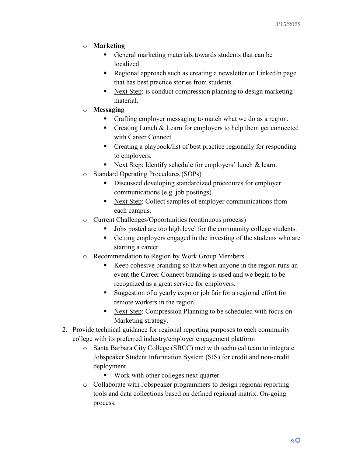#### o **Marketing**

- General marketing materials towards students that can be localized.
- Regional approach such as creating a newsletter or LinkedIn page that has best practice stories from students.
- Next Step: is conduct compression planning to design marketing material.

#### o **Messaging**

- Crafting employer messaging to match what we do as a region.
- Creating Lunch & Learn for employers to help them get connected with Career Connect.
- Creating a playbook/list of best practice regionally for responding to employers.
- Next Step: Identify schedule for employers' lunch & learn.
- o Standard Operating Procedures (SOPs)
	- Discussed developing standardized procedures for employer communications (e.g. job postings).
	- Next Step: Collect samples of employer communications from each campus.
- o Current Challenges/Opportunities (continuous process)
	- I Jobs posted are too high level for the community college students.
	- Getting employers engaged in the investing of the students who are starting a career.
- o Recommendation to Region by Work Group Members
	- Keep cohesive branding so that when anyone in the region runs an event the Career Connect branding is used and we begin to be recognized as a great service for employers.
	- Suggestion of a yearly expo or job fair for a regional effort for remote workers in the region.
	- Next Step: Compression Planning to be scheduled with focus on Marketing strategy.
- 2. Provide technical guidance for regional reporting purposes to each community college with its preferred industry/employer engagement platform
	- o Santa Barbara City College (SBCC) met with technical team to integrate Jobspeaker Student Information System (SIS) for credit and non-credit deployment.
		- Work with other colleges next quarter.
	- o Collaborate with Jobspeaker programmers to design regional reporting tools and data collections based on defined regional matrix. On-going process.